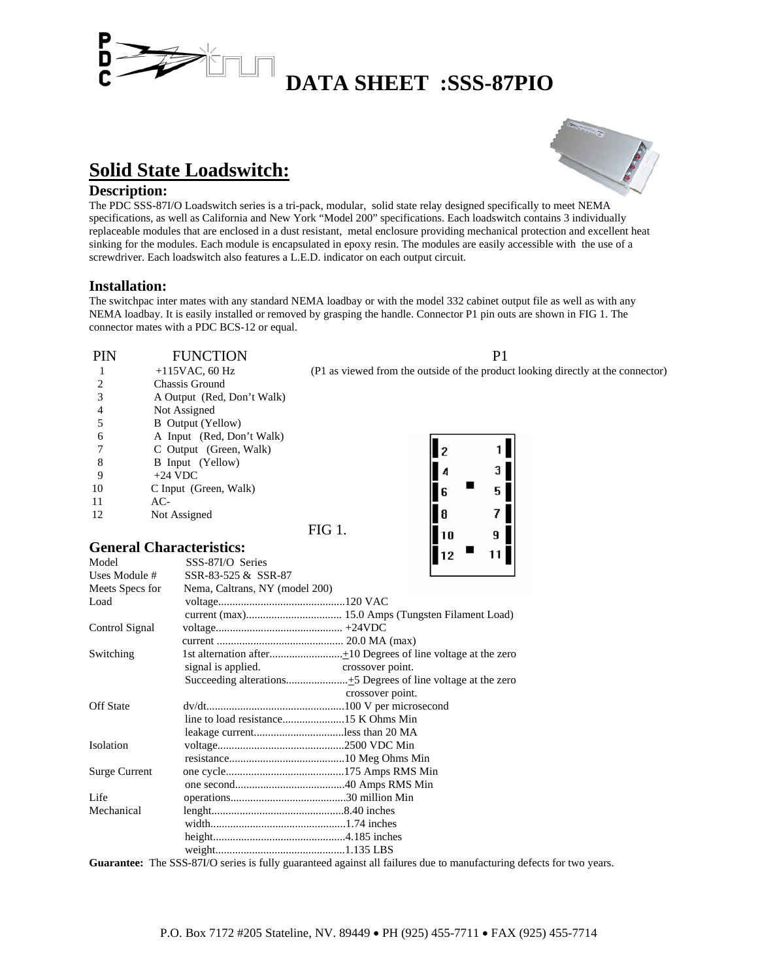

# **DATA SHEET :SSS-87PIO**

## **Solid State Loadswitch:**

**Description:**<br>The PDC SSS-87I/O Loadswitch series is a tri-pack, modular, solid state relay designed specifically to meet NEMA specifications, as well as California and New York "Model 200" specifications. Each loadswitch contains 3 individually replaceable modules that are enclosed in a dust resistant, metal enclosure providing mechanical protection and excellent heat sinking for the modules. Each module is encapsulated in epoxy resin. The modules are easily accessible with the use of a screwdriver. Each loadswitch also features a L.E.D. indicator on each output circuit.

### **Installation:**

The switchpac inter mates with any standard NEMA loadbay or with the model 332 cabinet output file as well as with any NEMA loadbay. It is easily installed or removed by grasping the handle. Connector P1 pin outs are shown in FIG 1. The connector mates with a PDC BCS-12 or equal.

| <b>PIN</b> | <b>FUNCTION</b>                 | P                                                                                |  |  |
|------------|---------------------------------|----------------------------------------------------------------------------------|--|--|
|            | $+115$ VAC, 60 Hz               | (P1 as viewed from the outside of the product looking directly at the connector) |  |  |
|            | Chassis Ground                  |                                                                                  |  |  |
|            | A Output (Red, Don't Walk)      |                                                                                  |  |  |
|            | Not Assigned                    |                                                                                  |  |  |
|            | <b>B</b> Output (Yellow)        |                                                                                  |  |  |
| 6          | A Input (Red, Don't Walk)       |                                                                                  |  |  |
|            | C Output (Green, Walk)          |                                                                                  |  |  |
| 8          | B Input (Yellow)                |                                                                                  |  |  |
| 9          | $+24$ VDC                       |                                                                                  |  |  |
| 10         | C Input (Green, Walk)           | 6                                                                                |  |  |
| 11         | $AC-$                           |                                                                                  |  |  |
| 12         | Not Assigned                    | 8                                                                                |  |  |
|            |                                 | <b>FIG 1.</b><br>10                                                              |  |  |
|            | <b>General Characteristics:</b> |                                                                                  |  |  |

## **General Characteristics:**

| Model                | SSS-87I/O Series               |                  | . |  |
|----------------------|--------------------------------|------------------|---|--|
| Uses Module #        | SSR-83-525 & SSR-87            |                  |   |  |
| Meets Specs for      | Nema, Caltrans, NY (model 200) |                  |   |  |
| Load                 |                                |                  |   |  |
|                      |                                |                  |   |  |
| Control Signal       |                                |                  |   |  |
|                      |                                |                  |   |  |
| Switching            |                                |                  |   |  |
|                      | signal is applied.             | crossover point. |   |  |
|                      |                                |                  |   |  |
|                      |                                | crossover point. |   |  |
| <b>Off State</b>     |                                |                  |   |  |
|                      |                                |                  |   |  |
|                      | leakage currentless than 20 MA |                  |   |  |
| Isolation            |                                |                  |   |  |
|                      |                                |                  |   |  |
| <b>Surge Current</b> |                                |                  |   |  |
|                      |                                |                  |   |  |
| Life                 |                                |                  |   |  |
| Mechanical           |                                |                  |   |  |
|                      |                                |                  |   |  |
|                      |                                |                  |   |  |
|                      |                                |                  |   |  |

**Guarantee:** The SSS-87I/O series is fully guaranteed against all failures due to manufacturing defects for two years.